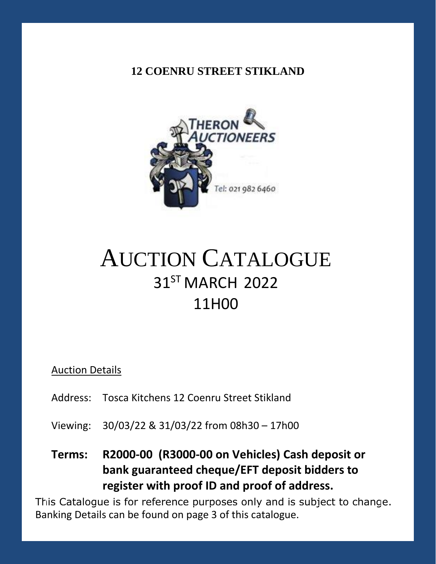### **12 COENRU STREET STIKLAND**



# AUCTION CATALOGUE 31ST MARCH 2022 11H00

#### Auction Details

- Address: Tosca Kitchens 12 Coenru Street Stikland
- Viewing: 30/03/22 & 31/03/22 from 08h30 17h00

# **Terms: R2000-00 (R3000-00 on Vehicles) Cash deposit or bank guaranteed cheque/EFT deposit bidders to register with proof ID and proof of address.**

This Catalogue is for reference purposes only and is subject to change. Banking Details can be found on page 3 of this catalogue.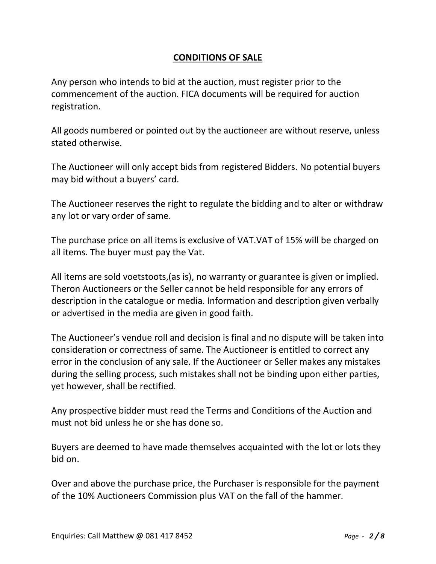#### **CONDITIONS OF SALE**

Any person who intends to bid at the auction, must register prior to the commencement of the auction. FICA documents will be required for auction registration.

All goods numbered or pointed out by the auctioneer are without reserve, unless stated otherwise.

The Auctioneer will only accept bids from registered Bidders. No potential buyers may bid without a buyers' card.

The Auctioneer reserves the right to regulate the bidding and to alter or withdraw any lot or vary order of same.

The purchase price on all items is exclusive of VAT.VAT of 15% will be charged on all items. The buyer must pay the Vat.

All items are sold voetstoots,(as is), no warranty or guarantee is given or implied. Theron Auctioneers or the Seller cannot be held responsible for any errors of description in the catalogue or media. Information and description given verbally or advertised in the media are given in good faith.

The Auctioneer's vendue roll and decision is final and no dispute will be taken into consideration or correctness of same. The Auctioneer is entitled to correct any error in the conclusion of any sale. If the Auctioneer or Seller makes any mistakes during the selling process, such mistakes shall not be binding upon either parties, yet however, shall be rectified.

Any prospective bidder must read the Terms and Conditions of the Auction and must not bid unless he or she has done so.

Buyers are deemed to have made themselves acquainted with the lot or lots they bid on.

Over and above the purchase price, the Purchaser is responsible for the payment of the 10% Auctioneers Commission plus VAT on the fall of the hammer.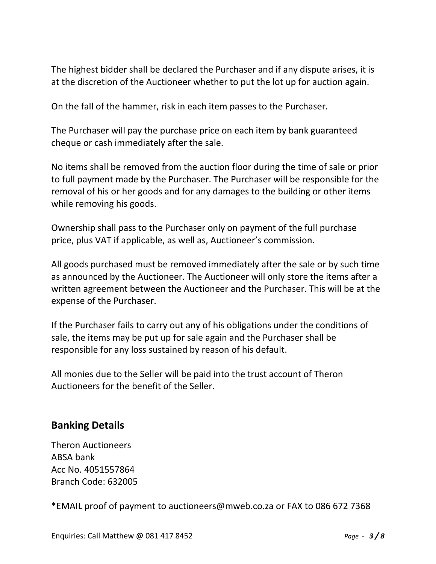The highest bidder shall be declared the Purchaser and if any dispute arises, it is at the discretion of the Auctioneer whether to put the lot up for auction again.

On the fall of the hammer, risk in each item passes to the Purchaser.

The Purchaser will pay the purchase price on each item by bank guaranteed cheque or cash immediately after the sale.

No items shall be removed from the auction floor during the time of sale or prior to full payment made by the Purchaser. The Purchaser will be responsible for the removal of his or her goods and for any damages to the building or other items while removing his goods.

Ownership shall pass to the Purchaser only on payment of the full purchase price, plus VAT if applicable, as well as, Auctioneer's commission.

All goods purchased must be removed immediately after the sale or by such time as announced by the Auctioneer. The Auctioneer will only store the items after a written agreement between the Auctioneer and the Purchaser. This will be at the expense of the Purchaser.

If the Purchaser fails to carry out any of his obligations under the conditions of sale, the items may be put up for sale again and the Purchaser shall be responsible for any loss sustained by reason of his default.

All monies due to the Seller will be paid into the trust account of Theron Auctioneers for the benefit of the Seller.

#### **Banking Details**

Theron Auctioneers ABSA bank Acc No. 4051557864 Branch Code: 632005

\*EMAIL proof of payment to [auctioneers@mweb.co.za](mailto:auctioneers@mweb.co.za) or FAX to 086 672 7368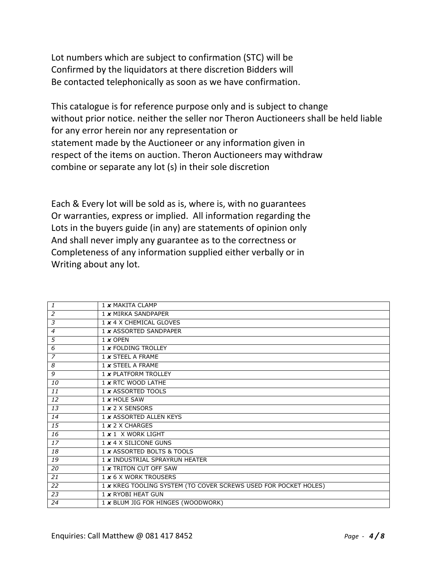Lot numbers which are subject to confirmation (STC) will be Confirmed by the liquidators at there discretion Bidders will Be contacted telephonically as soon as we have confirmation.

This catalogue is for reference purpose only and is subject to change without prior notice. neither the seller nor Theron Auctioneers shall be held liable for any error herein nor any representation or statement made by the Auctioneer or any information given in respect of the items on auction. Theron Auctioneers may withdraw combine or separate any lot (s) in their sole discretion

Each & Every lot will be sold as is, where is, with no guarantees Or warranties, express or implied. All information regarding the Lots in the buyers guide (in any) are statements of opinion only And shall never imply any guarantee as to the correctness or Completeness of any information supplied either verbally or in Writing about any lot.

| 1              | 1 x MAKITA CLAMP                                                |
|----------------|-----------------------------------------------------------------|
| 2              | 1 x MIRKA SANDPAPER                                             |
| 3              | 1 x 4 X CHEMICAL GLOVES                                         |
| 4              | 1 x ASSORTED SANDPAPER                                          |
| 5              | $1 \times$ OPEN                                                 |
| 6              | 1 x FOLDING TROLLEY                                             |
| $\overline{7}$ | $1 \times$ STEEL A FRAME                                        |
| 8              | $1 \times$ STEEL A FRAME                                        |
| 9              | 1 x PLATFORM TROLLEY                                            |
| 10             | 1 x RTC WOOD LATHE                                              |
| 11             | 1 x ASSORTED TOOLS                                              |
| 12             | $1 x$ HOLE SAW                                                  |
| 13             | 1 x 2 X SENSORS                                                 |
| 14             | 1 x ASSORTED ALLEN KEYS                                         |
| 15             | $1 \times 2 \times$ CHARGES                                     |
| 16             | $1 \times 1$ X WORK LIGHT                                       |
| 17             | 1 x 4 X SILICONE GUNS                                           |
| 18             | 1 x ASSORTED BOLTS & TOOLS                                      |
| 19             | 1 x INDUSTRIAL SPRAYRUN HEATER                                  |
| 20             | 1 x TRITON CUT OFF SAW                                          |
| 21             | 1 x 6 X WORK TROUSERS                                           |
| 22             | 1 x KREG TOOLING SYSTEM (TO COVER SCREWS USED FOR POCKET HOLES) |
| 23             | 1 x RYOBI HEAT GUN                                              |
| 24             | 1 x BLUM JIG FOR HINGES (WOODWORK)                              |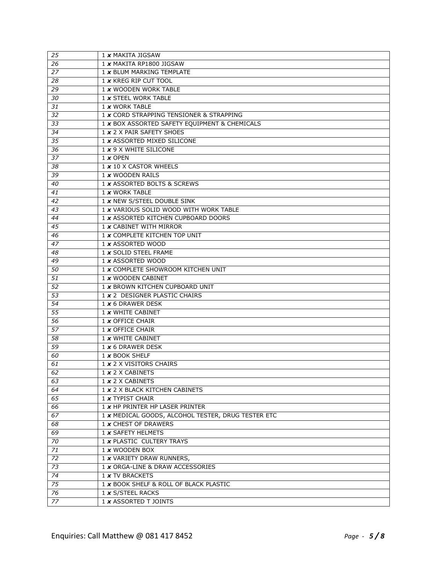| 25              | 1 x MAKITA JIGSAW                                  |
|-----------------|----------------------------------------------------|
| 26              | 1 x MAKITA RP1800 JIGSAW                           |
| $2\overline{7}$ | 1 x BLUM MARKING TEMPLATE                          |
| 28              | 1 x KREG RIP CUT TOOL                              |
| 29              | 1 x WOODEN WORK TABLE                              |
| 30              | 1 x STEEL WORK TABLE                               |
| 31              | 1 x WORK TABLE                                     |
| 32              | 1 x CORD STRAPPING TENSIONER & STRAPPING           |
| 33              | 1 x BOX ASSORTED SAFETY EQUIPMENT & CHEMICALS      |
| 34              | 1 x 2 X PAIR SAFETY SHOES                          |
| 35              | 1 x ASSORTED MIXED SILICONE                        |
| 36              | 1 x 9 X WHITE SILICONE                             |
| 37              | $1 \times$ OPEN                                    |
| 38              | 1 x 10 X CASTOR WHEELS                             |
| 39              | 1 x WOODEN RAILS                                   |
| 40              | 1 x ASSORTED BOLTS & SCREWS                        |
| 41              | 1 x WORK TABLE                                     |
| 42              | 1 x NEW S/STEEL DOUBLE SINK                        |
| 43              | 1 x VARIOUS SOLID WOOD WITH WORK TABLE             |
| 44              | 1 x ASSORTED KITCHEN CUPBOARD DOORS                |
| 45              | 1 x CABINET WITH MIRROR                            |
| 46              | 1 x COMPLETE KITCHEN TOP UNIT                      |
| 47              | 1 x ASSORTED WOOD                                  |
| 48              | 1 x SOLID STEEL FRAME                              |
| 49              | 1 x ASSORTED WOOD                                  |
| 50              | 1 x COMPLETE SHOWROOM KITCHEN UNIT                 |
| 51              | 1 x WOODEN CABINET                                 |
| 52              | 1 x BROWN KITCHEN CUPBOARD UNIT                    |
| $\overline{53}$ | 1 x 2 DESIGNER PLASTIC CHAIRS                      |
| 54              | $1 \times 6$ DRAWER DESK                           |
| 55              | 1 x WHITE CABINET                                  |
| 56              | 1 x OFFICE CHAIR                                   |
| 57              | 1 x OFFICE CHAIR                                   |
| 58              | 1 x WHITE CABINET                                  |
| 59              | 1 x 6 DRAWER DESK                                  |
| 60              | 1 x BOOK SHELF                                     |
| 61              | 1 x 2 X VISITORS CHAIRS                            |
| 62              | 1 x 2 X CABINETS                                   |
| 63              | $1 \times 2 \times$ CABINETS                       |
| 64              | 1 x 2 X BLACK KITCHEN CABINETS                     |
| 65              | 1 x TYPIST CHAIR                                   |
| 66              | 1 x HP PRINTER HP LASER PRINTER                    |
| 67              | 1 x MEDICAL GOODS, ALCOHOL TESTER, DRUG TESTER ETC |
| 68              | 1 x CHEST OF DRAWERS                               |
| 69              | 1 x SAFETY HELMETS                                 |
| 70              | 1 x PLASTIC CULTERY TRAYS                          |
| 71              | 1 x WOODEN BOX                                     |
| 72              | 1 x VARIETY DRAW RUNNERS,                          |
| 73              | 1 x ORGA-LINE & DRAW ACCESSORIES                   |
| 74              | 1 x TV BRACKETS                                    |
| 75              | 1 x BOOK SHELF & ROLL OF BLACK PLASTIC             |
| 76              | 1 x S/STEEL RACKS                                  |
| 77              | 1 x ASSORTED T JOINTS                              |
|                 |                                                    |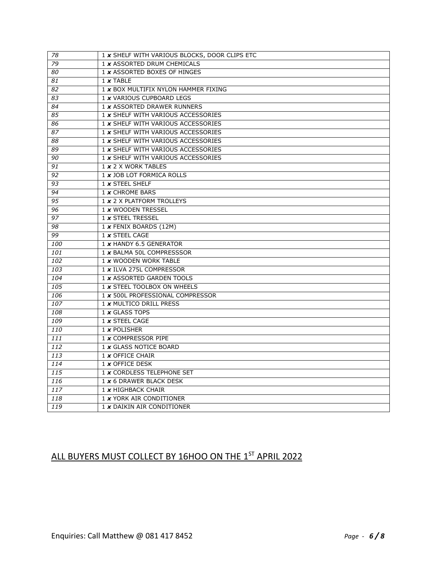| 78  | 1 x SHELF WITH VARIOUS BLOCKS, DOOR CLIPS ETC |
|-----|-----------------------------------------------|
| 79  | 1 x ASSORTED DRUM CHEMICALS                   |
| 80  | 1 x ASSORTED BOXES OF HINGES                  |
| 81  | $1 \times$ TABLE                              |
| 82  | 1 x BOX MULTIFIX NYLON HAMMER FIXING          |
| 83  | 1 x VARIOUS CUPBOARD LEGS                     |
| 84  | 1 x ASSORTED DRAWER RUNNERS                   |
| 85  | 1 x SHELF WITH VARIOUS ACCESSORIES            |
| 86  | 1 x SHELF WITH VARIOUS ACCESSORIES            |
| 87  | 1 x SHELF WITH VARIOUS ACCESSORIES            |
| 88  | 1 x SHELF WITH VARIOUS ACCESSORIES            |
| 89  | 1 x SHELF WITH VARIOUS ACCESSORIES            |
| 90  | 1 x SHELF WITH VARIOUS ACCESSORIES            |
| 91  | 1 x 2 X WORK TABLES                           |
| 92  | 1 x JOB LOT FORMICA ROLLS                     |
| 93  | $1 x$ STEEL SHELF                             |
| 94  | 1 x CHROME BARS                               |
| 95  | 1 x 2 X PLATFORM TROLLEYS                     |
| 96  | 1 x WOODEN TRESSEL                            |
| 97  | 1 x STEEL TRESSEL                             |
| 98  | 1 x FENIX BOARDS (12M)                        |
| 99  | 1 x STEEL CAGE                                |
| 100 | 1 x HANDY 6.5 GENERATOR                       |
| 101 | 1 x BALMA 50L COMPRESSSOR                     |
| 102 | 1 x WOODEN WORK TABLE                         |
| 103 | 1 x ILVA 275L COMPRESSOR                      |
| 104 | 1 x ASSORTED GARDEN TOOLS                     |
| 105 | 1 x STEEL TOOLBOX ON WHEELS                   |
| 106 | 1 x 500L PROFESSIONAL COMPRESSOR              |
| 107 | 1 x MULTICO DRILL PRESS                       |
| 108 | 1 x GLASS TOPS                                |
| 109 | 1 x STEEL CAGE                                |
| 110 | $1 x$ POLISHER                                |
| 111 | 1 x COMPRESSOR PIPE                           |
| 112 | 1 x GLASS NOTICE BOARD                        |
| 113 | 1 x OFFICE CHAIR                              |
| 114 | 1 x OFFICE DESK                               |
| 115 | 1 x CORDLESS TELEPHONE SET                    |
| 116 | 1 x 6 DRAWER BLACK DESK                       |
| 117 | 1 x HIGHBACK CHAIR                            |
| 118 | 1 x YORK AIR CONDITIONER                      |
| 119 | 1 x DAIKIN AIR CONDITIONER                    |

## ALL BUYERS MUST COLLECT BY 16HOO ON THE 1ST APRIL 2022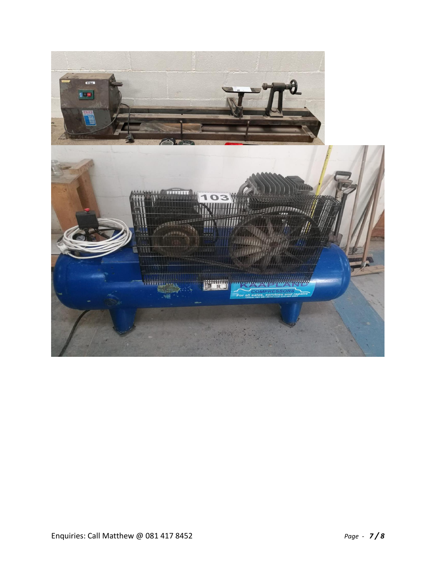